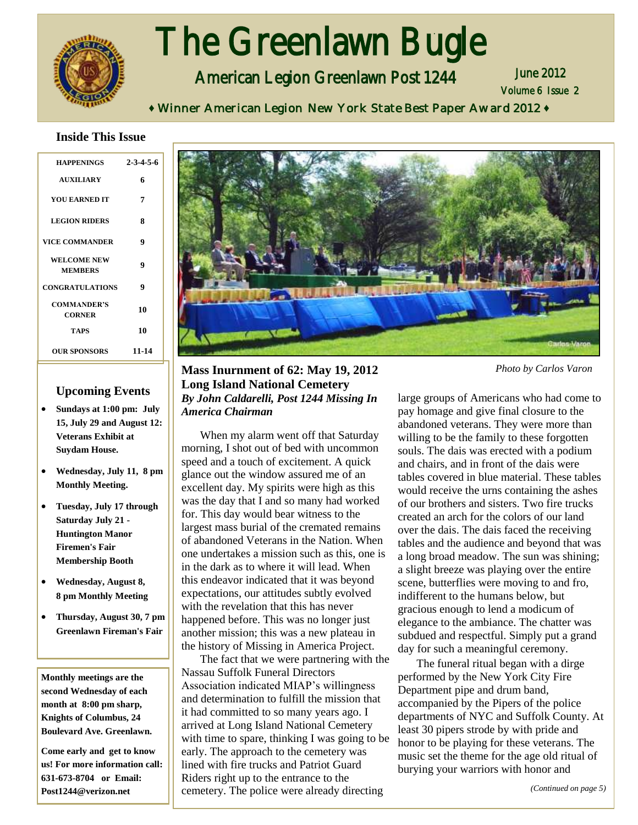

# í The Greenlawn Bugle

American Legion Greenlawn Post 1244

Volume 6 Issue 2 June 2012

**♦** Winner American Legion New York State Best Paper Award 2012 **♦**

#### **Inside This Issue**

| <b>HAPPENINGS</b>                    | $2 - 3 - 4 - 5 - 6$ |
|--------------------------------------|---------------------|
| <b>AUXILIARY</b>                     | 6                   |
| <b>YOU EARNED IT</b>                 | 7                   |
| <b>LEGION RIDERS</b>                 | 8                   |
| <b>VICE COMMANDER</b>                | 9                   |
| <b>WELCOME NEW</b><br><b>MEMBERS</b> | 9                   |
| <b>CONGRATULATIONS</b>               | 9                   |
| <b>COMMANDER'S</b><br><b>CORNER</b>  | 10                  |
| TAPS                                 | 10                  |
| <b>OUR SPONSORS</b>                  | 11-14               |

#### **Upcoming Events**

- **Sundays at 1:00 pm: July 15, July 29 and August 12: Veterans Exhibit at Suydam House.**
- **Wednesday, July 11, 8 pm Monthly Meeting.**
- **Tuesday, July 17 through Saturday July 21 - Huntington Manor Firemen's Fair Membership Booth**
- **Wednesday, August 8, 8 pm Monthly Meeting**
- **Thursday, August 30, 7 pm Greenlawn Fireman's Fair**

**Monthly meetings are the second Wednesday of each month at 8:00 pm sharp, Knights of Columbus, 24 Boulevard Ave. Greenlawn.** 

**Come early and get to know us! For more information call: 631-673-8704 or Email: Post1244@verizon.net**



#### **Mass Inurnment of 62: May 19, 2012 Long Island National Cemetery** *By John Caldarelli, Post 1244 Missing In America Chairman*

When my alarm went off that Saturday morning, I shot out of bed with uncommon speed and a touch of excitement. A quick glance out the window assured me of an excellent day. My spirits were high as this was the day that I and so many had worked for. This day would bear witness to the largest mass burial of the cremated remains of abandoned Veterans in the Nation. When one undertakes a mission such as this, one is in the dark as to where it will lead. When this endeavor indicated that it was beyond expectations, our attitudes subtly evolved with the revelation that this has never happened before. This was no longer just another mission; this was a new plateau in the history of Missing in America Project.

The fact that we were partnering with the Nassau Suffolk Funeral Directors Association indicated MIAP's willingness and determination to fulfill the mission that it had committed to so many years ago. I arrived at Long Island National Cemetery with time to spare, thinking I was going to be early. The approach to the cemetery was lined with fire trucks and Patriot Guard Riders right up to the entrance to the cemetery. The police were already directing

*Photo by Carlos Varon*

large groups of Americans who had come to pay homage and give final closure to the abandoned veterans. They were more than willing to be the family to these forgotten souls. The dais was erected with a podium and chairs, and in front of the dais were tables covered in blue material. These tables would receive the urns containing the ashes of our brothers and sisters. Two fire trucks created an arch for the colors of our land over the dais. The dais faced the receiving tables and the audience and beyond that was a long broad meadow. The sun was shining; a slight breeze was playing over the entire scene, butterflies were moving to and fro, indifferent to the humans below, but gracious enough to lend a modicum of elegance to the ambiance. The chatter was subdued and respectful. Simply put a grand day for such a meaningful ceremony.

The funeral ritual began with a dirge performed by the New York City Fire Department pipe and drum band, accompanied by the Pipers of the police departments of NYC and Suffolk County. At least 30 pipers strode by with pride and honor to be playing for these veterans. The music set the theme for the age old ritual of burying your warriors with honor and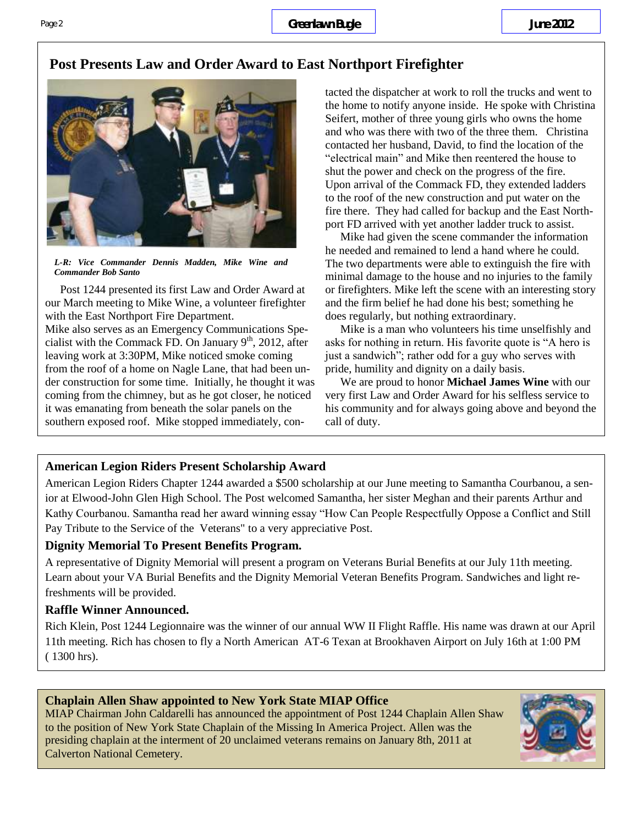### **Post Presents Law and Order Award to East Northport Firefighter**



*L-R: Vice Commander Dennis Madden, Mike Wine and Commander Bob Santo*

Post 1244 presented its first Law and Order Award at our March meeting to Mike Wine, a volunteer firefighter with the East Northport Fire Department.

Mike also serves as an Emergency Communications Specialist with the Commack FD. On January  $9<sup>th</sup>$ , 2012, after leaving work at 3:30PM, Mike noticed smoke coming from the roof of a home on Nagle Lane, that had been under construction for some time. Initially, he thought it was coming from the chimney, but as he got closer, he noticed it was emanating from beneath the solar panels on the southern exposed roof. Mike stopped immediately, contacted the dispatcher at work to roll the trucks and went to the home to notify anyone inside. He spoke with Christina Seifert, mother of three young girls who owns the home and who was there with two of the three them. Christina contacted her husband, David, to find the location of the "electrical main" and Mike then reentered the house to shut the power and check on the progress of the fire. Upon arrival of the Commack FD, they extended ladders to the roof of the new construction and put water on the fire there. They had called for backup and the East Northport FD arrived with yet another ladder truck to assist.

Mike had given the scene commander the information he needed and remained to lend a hand where he could. The two departments were able to extinguish the fire with minimal damage to the house and no injuries to the family or firefighters. Mike left the scene with an interesting story and the firm belief he had done his best; something he does regularly, but nothing extraordinary.

Mike is a man who volunteers his time unselfishly and asks for nothing in return. His favorite quote is "A hero is just a sandwich"; rather odd for a guy who serves with pride, humility and dignity on a daily basis.

We are proud to honor **Michael James Wine** with our very first Law and Order Award for his selfless service to his community and for always going above and beyond the call of duty.

#### **American Legion Riders Present Scholarship Award**

American Legion Riders Chapter 1244 awarded a \$500 scholarship at our June meeting to Samantha Courbanou, a senior at Elwood-John Glen High School. The Post welcomed Samantha, her sister Meghan and their parents Arthur and Kathy Courbanou. Samantha read her award winning essay "How Can People Respectfully Oppose a Conflict and Still Pay Tribute to the Service of the Veterans" to a very appreciative Post.

#### **Dignity Memorial To Present Benefits Program.**

A representative of Dignity Memorial will present a program on Veterans Burial Benefits at our July 11th meeting. Learn about your VA Burial Benefits and the Dignity Memorial Veteran Benefits Program. Sandwiches and light refreshments will be provided.

#### **Raffle Winner Announced.**

Rich Klein, Post 1244 Legionnaire was the winner of our annual WW II Flight Raffle. His name was drawn at our April 11th meeting. Rich has chosen to fly a North American AT-6 Texan at Brookhaven Airport on July 16th at 1:00 PM ( 1300 hrs).

#### **Chaplain Allen Shaw appointed to New York State MIAP Office**

MIAP Chairman John Caldarelli has announced the appointment of Post 1244 Chaplain Allen Shaw to the position of New York State Chaplain of the Missing In America Project. Allen was the presiding chaplain at the interment of 20 unclaimed veterans remains on January 8th, 2011 at Calverton National Cemetery.

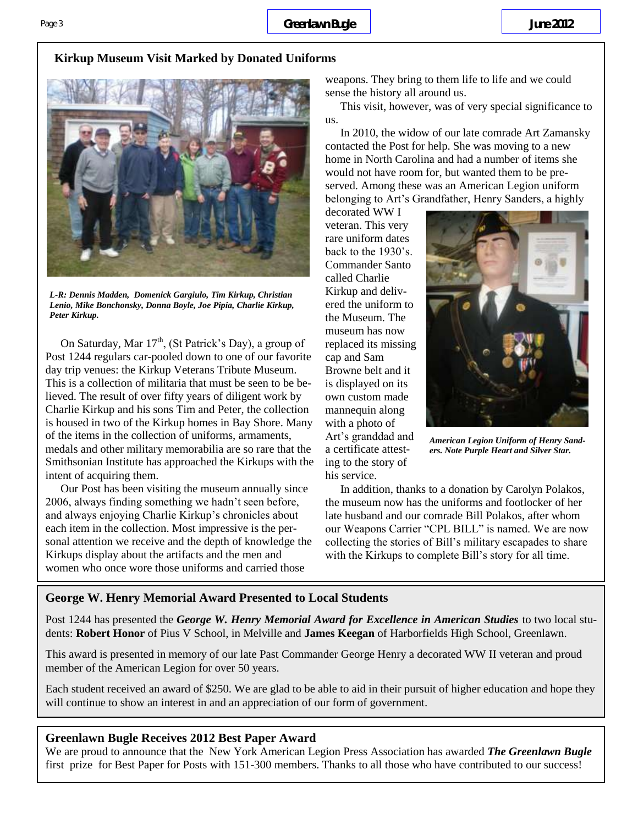### **Kirkup Museum Visit Marked by Donated Uniforms**



*L-R: Dennis Madden, Domenick Gargiulo, Tim Kirkup, Christian Lenio, Mike Bonchonsky, Donna Boyle, Joe Pipia, Charlie Kirkup, Peter Kirkup.*

On Saturday, Mar  $17<sup>th</sup>$ , (St Patrick's Day), a group of Post 1244 regulars car-pooled down to one of our favorite day trip venues: the Kirkup Veterans Tribute Museum. This is a collection of militaria that must be seen to be believed. The result of over fifty years of diligent work by Charlie Kirkup and his sons Tim and Peter, the collection is housed in two of the Kirkup homes in Bay Shore. Many of the items in the collection of uniforms, armaments, medals and other military memorabilia are so rare that the Smithsonian Institute has approached the Kirkups with the intent of acquiring them.

Our Post has been visiting the museum annually since 2006, always finding something we hadn't seen before, and always enjoying Charlie Kirkup's chronicles about each item in the collection. Most impressive is the personal attention we receive and the depth of knowledge the Kirkups display about the artifacts and the men and women who once wore those uniforms and carried those

weapons. They bring to them life to life and we could sense the history all around us.

This visit, however, was of very special significance to us.

In 2010, the widow of our late comrade Art Zamansky contacted the Post for help. She was moving to a new home in North Carolina and had a number of items she would not have room for, but wanted them to be preserved. Among these was an American Legion uniform belonging to Art's Grandfather, Henry Sanders, a highly

decorated WW I veteran. This very rare uniform dates back to the 1930's. Commander Santo called Charlie Kirkup and delivered the uniform to the Museum. The museum has now replaced its missing cap and Sam Browne belt and it is displayed on its own custom made mannequin along with a photo of Art's granddad and a certificate attesting to the story of his service.



*American Legion Uniform of Henry Sanders. Note Purple Heart and Silver Star.*

In addition, thanks to a donation by Carolyn Polakos, the museum now has the uniforms and footlocker of her late husband and our comrade Bill Polakos, after whom our Weapons Carrier "CPL BILL" is named. We are now collecting the stories of Bill's military escapades to share with the Kirkups to complete Bill's story for all time.

#### **George W. Henry Memorial Award Presented to Local Students**

Post 1244 has presented the *George W. Henry Memorial Award for Excellence in American Studies* to two local students: **Robert Honor** of Pius V School, in Melville and **James Keegan** of Harborfields High School, Greenlawn.

This award is presented in memory of our late Past Commander George Henry a decorated WW II veteran and proud member of the American Legion for over 50 years.

Each student received an award of \$250. We are glad to be able to aid in their pursuit of higher education and hope they will continue to show an interest in and an appreciation of our form of government.

#### **Greenlawn Bugle Receives 2012 Best Paper Award**

We are proud to announce that the New York American Legion Press Association has awarded *The Greenlawn Bugle*  first prize for Best Paper for Posts with 151-300 members. Thanks to all those who have contributed to our success!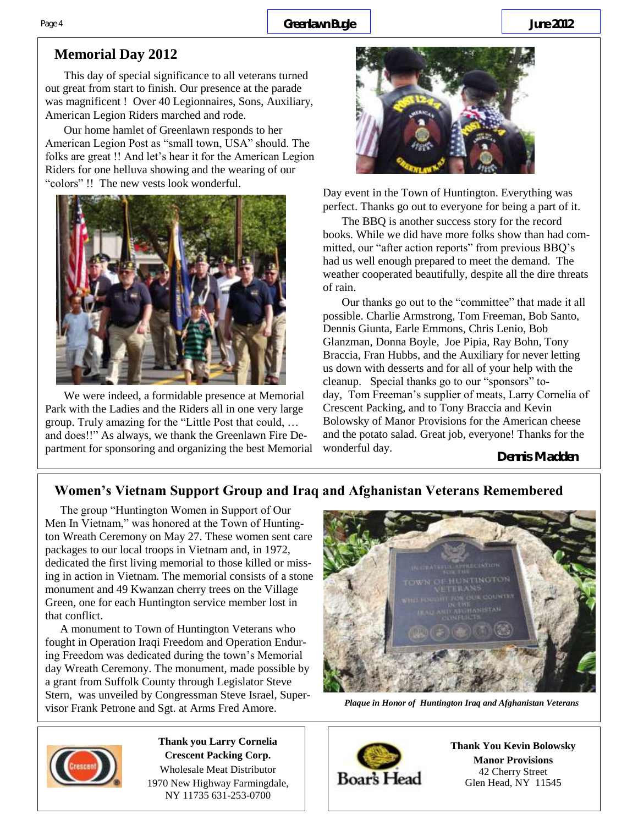# **Memorial Day 2012**

This day of special significance to all veterans turned out great from start to finish. Our presence at the parade was magnificent ! Over 40 Legionnaires, Sons, Auxiliary, American Legion Riders marched and rode.

Our home hamlet of Greenlawn responds to her American Legion Post as "small town, USA" should. The folks are great !! And let's hear it for the American Legion Riders for one helluva showing and the wearing of our "colors" !! The new vests look wonderful.



We were indeed, a formidable presence at Memorial Park with the Ladies and the Riders all in one very large group. Truly amazing for the "Little Post that could, … and does!!" As always, we thank the Greenlawn Fire Department for sponsoring and organizing the best Memorial



Day event in the Town of Huntington. Everything was perfect. Thanks go out to everyone for being a part of it.

The BBQ is another success story for the record books. While we did have more folks show than had committed, our "after action reports" from previous BBQ's had us well enough prepared to meet the demand. The weather cooperated beautifully, despite all the dire threats of rain.

Our thanks go out to the "committee" that made it all possible. Charlie Armstrong, Tom Freeman, Bob Santo, Dennis Giunta, Earle Emmons, Chris Lenio, Bob Glanzman, Donna Boyle, Joe Pipia, Ray Bohn, Tony Braccia, Fran Hubbs, and the Auxiliary for never letting us down with desserts and for all of your help with the cleanup. Special thanks go to our "sponsors" today, Tom Freeman's supplier of meats, Larry Cornelia of Crescent Packing, and to Tony Braccia and Kevin Bolowsky of Manor Provisions for the American cheese and the potato salad. Great job, everyone! Thanks for the wonderful day.

**Dennis Madden**

## **Women's Vietnam Support Group and Iraq and Afghanistan Veterans Remembered**

The group "Huntington Women in Support of Our Men In Vietnam," was honored at the Town of Huntington Wreath Ceremony on May 27. These women sent care packages to our local troops in Vietnam and, in 1972, dedicated the first living memorial to those killed or missing in action in Vietnam. The memorial consists of a stone monument and 49 Kwanzan cherry trees on the Village Green, one for each Huntington service member lost in that conflict.

 A monument to Town of Huntington Veterans who fought in Operation Iraqi Freedom and Operation Enduring Freedom was dedicated during the town's Memorial day Wreath Ceremony. The monument, made possible by a grant from Suffolk County through Legislator Steve Stern, was unveiled by Congressman Steve Israel, Supervisor Frank Petrone and Sgt. at Arms Fred Amore.



*Plaque in Honor of Huntington Iraq and Afghanistan Veterans*



**Thank You Kevin Bolowsky Manor Provisions** 42 Cherry Street Glen Head, NY 11545



**Thank you Larry Cornelia Crescent Packing Corp.**  Wholesale Meat Distributor 1970 New Highway Farmingdale, NY 11735 631-253-0700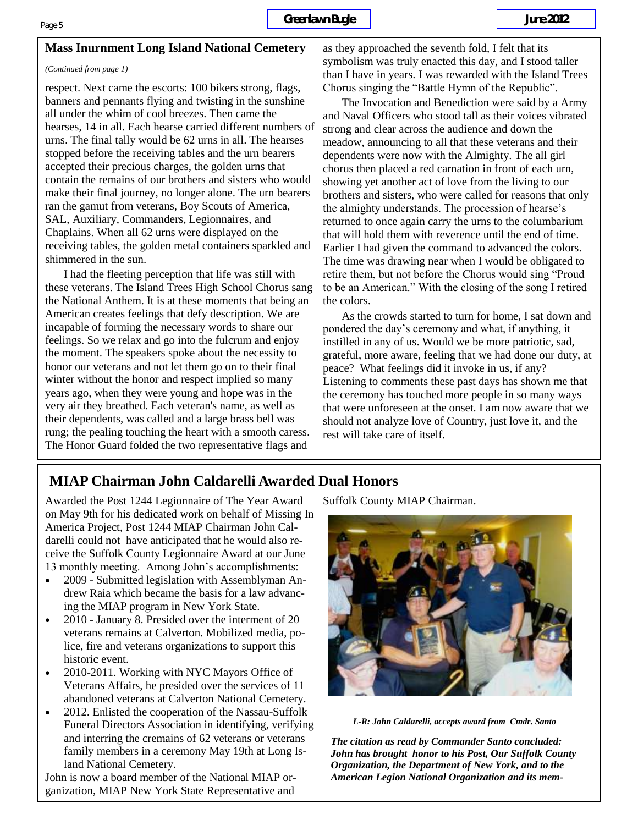#### **Mass Inurnment Long Island National Cemetery**

#### *(Continued from page 1)*

respect. Next came the escorts: 100 bikers strong, flags, banners and pennants flying and twisting in the sunshine all under the whim of cool breezes. Then came the hearses, 14 in all. Each hearse carried different numbers of urns. The final tally would be 62 urns in all. The hearses stopped before the receiving tables and the urn bearers accepted their precious charges, the golden urns that contain the remains of our brothers and sisters who would make their final journey, no longer alone. The urn bearers ran the gamut from veterans, Boy Scouts of America, SAL, Auxiliary, Commanders, Legionnaires, and Chaplains. When all 62 urns were displayed on the receiving tables, the golden metal containers sparkled and shimmered in the sun.

I had the fleeting perception that life was still with these veterans. The Island Trees High School Chorus sang the National Anthem. It is at these moments that being an American creates feelings that defy description. We are incapable of forming the necessary words to share our feelings. So we relax and go into the fulcrum and enjoy the moment. The speakers spoke about the necessity to honor our veterans and not let them go on to their final winter without the honor and respect implied so many years ago, when they were young and hope was in the very air they breathed. Each veteran's name, as well as their dependents, was called and a large brass bell was rung; the pealing touching the heart with a smooth caress. The Honor Guard folded the two representative flags and

as they approached the seventh fold, I felt that its symbolism was truly enacted this day, and I stood taller than I have in years. I was rewarded with the Island Trees Chorus singing the "Battle Hymn of the Republic".

The Invocation and Benediction were said by a Army and Naval Officers who stood tall as their voices vibrated strong and clear across the audience and down the meadow, announcing to all that these veterans and their dependents were now with the Almighty. The all girl chorus then placed a red carnation in front of each urn, showing yet another act of love from the living to our brothers and sisters, who were called for reasons that only the almighty understands. The procession of hearse's returned to once again carry the urns to the columbarium that will hold them with reverence until the end of time. Earlier I had given the command to advanced the colors. The time was drawing near when I would be obligated to retire them, but not before the Chorus would sing "Proud to be an American." With the closing of the song I retired the colors.

As the crowds started to turn for home, I sat down and pondered the day's ceremony and what, if anything, it instilled in any of us. Would we be more patriotic, sad, grateful, more aware, feeling that we had done our duty, at peace? What feelings did it invoke in us, if any? Listening to comments these past days has shown me that the ceremony has touched more people in so many ways that were unforeseen at the onset. I am now aware that we should not analyze love of Country, just love it, and the rest will take care of itself.

### **MIAP Chairman John Caldarelli Awarded Dual Honors**

Awarded the Post 1244 Legionnaire of The Year Award on May 9th for his dedicated work on behalf of Missing In America Project, Post 1244 MIAP Chairman John Caldarelli could not have anticipated that he would also receive the Suffolk County Legionnaire Award at our June 13 monthly meeting. Among John's accomplishments:

- 2009 Submitted legislation with Assemblyman Andrew Raia which became the basis for a law advancing the MIAP program in New York State.
- 2010 January 8. Presided over the interment of 20 veterans remains at Calverton. Mobilized media, police, fire and veterans organizations to support this historic event.
- 2010-2011. Working with NYC Mayors Office of Veterans Affairs, he presided over the services of 11 abandoned veterans at Calverton National Cemetery.
- 2012. Enlisted the cooperation of the Nassau-Suffolk Funeral Directors Association in identifying, verifying and interring the cremains of 62 veterans or veterans family members in a ceremony May 19th at Long Island National Cemetery.

John is now a board member of the National MIAP organization, MIAP New York State Representative and Suffolk County MIAP Chairman.



*L-R: John Caldarelli, accepts award from Cmdr. Santo*

*The citation as read by Commander Santo concluded: John has brought honor to his Post, Our Suffolk County Organization, the Department of New York, and to the American Legion National Organization and its mem-*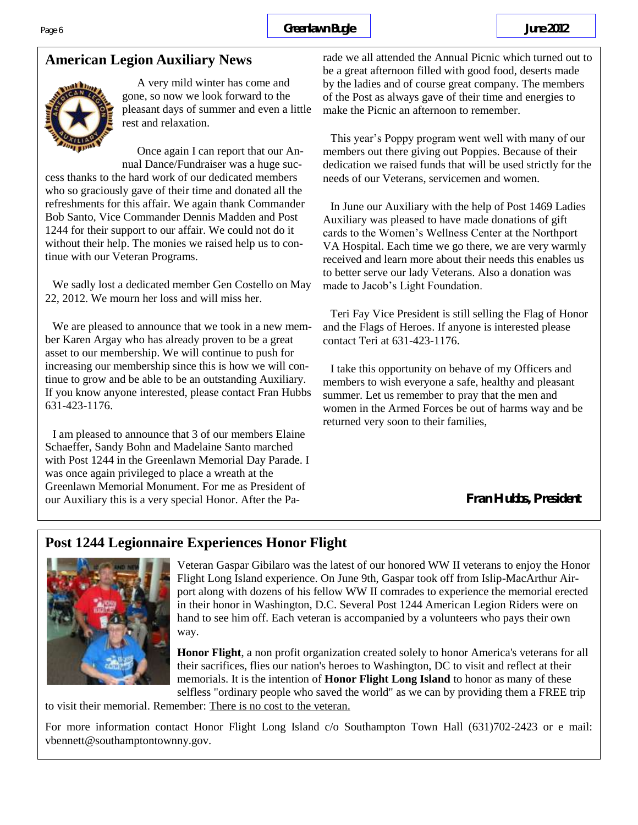

A very mild winter has come and gone, so now we look forward to the pleasant days of summer and even a little rest and relaxation.

Once again I can report that our Annual Dance/Fundraiser was a huge suc-

cess thanks to the hard work of our dedicated members who so graciously gave of their time and donated all the refreshments for this affair. We again thank Commander Bob Santo, Vice Commander Dennis Madden and Post 1244 for their support to our affair. We could not do it without their help. The monies we raised help us to continue with our Veteran Programs.

We sadly lost a dedicated member Gen Costello on May 22, 2012. We mourn her loss and will miss her.

We are pleased to announce that we took in a new member Karen Argay who has already proven to be a great asset to our membership. We will continue to push for increasing our membership since this is how we will continue to grow and be able to be an outstanding Auxiliary. If you know anyone interested, please contact Fran Hubbs 631-423-1176.

I am pleased to announce that 3 of our members Elaine Schaeffer, Sandy Bohn and Madelaine Santo marched with Post 1244 in the Greenlawn Memorial Day Parade. I was once again privileged to place a wreath at the Greenlawn Memorial Monument. For me as President of our Auxiliary this is a very special Honor. After the Parade we all attended the Annual Picnic which turned out to be a great afternoon filled with good food, deserts made by the ladies and of course great company. The members of the Post as always gave of their time and energies to make the Picnic an afternoon to remember.

This year's Poppy program went well with many of our members out there giving out Poppies. Because of their dedication we raised funds that will be used strictly for the needs of our Veterans, servicemen and women.

In June our Auxiliary with the help of Post 1469 Ladies Auxiliary was pleased to have made donations of gift cards to the Women's Wellness Center at the Northport VA Hospital. Each time we go there, we are very warmly received and learn more about their needs this enables us to better serve our lady Veterans. Also a donation was made to Jacob's Light Foundation.

Teri Fay Vice President is still selling the Flag of Honor and the Flags of Heroes. If anyone is interested please contact Teri at 631-423-1176.

I take this opportunity on behave of my Officers and members to wish everyone a safe, healthy and pleasant summer. Let us remember to pray that the men and women in the Armed Forces be out of harms way and be returned very soon to their families,

**Fran Hubbs, President**

# **Post 1244 Legionnaire Experiences Honor Flight**



Veteran Gaspar Gibilaro was the latest of our honored WW II veterans to enjoy the Honor Flight Long Island experience. On June 9th, Gaspar took off from Islip-MacArthur Airport along with dozens of his fellow WW II comrades to experience the memorial erected in their honor in Washington, D.C. Several Post 1244 American Legion Riders were on hand to see him off. Each veteran is accompanied by a volunteers who pays their own way.

**Honor Flight**, a non profit organization created solely to honor America's veterans for all their sacrifices, flies our nation's heroes to Washington, DC to visit and reflect at their memorials. It is the intention of **Honor Flight Long Island** to honor as many of these selfless "ordinary people who saved the world" as we can by providing them a FREE trip

to visit their memorial. Remember: There is no cost to the veteran.

For more information contact Honor Flight Long Island c/o Southampton Town Hall (631)702-2423 or e mail: vbennett@southamptontownny.gov.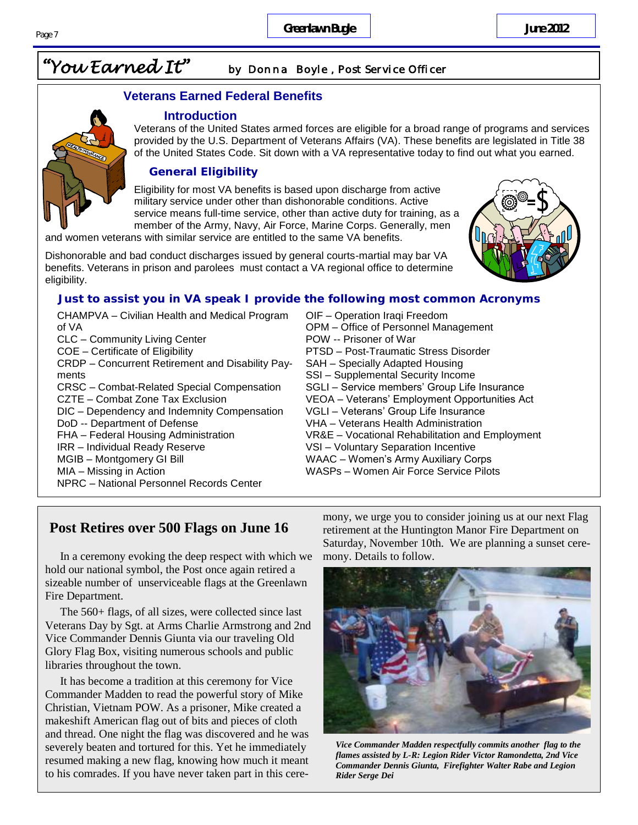# *"You Earned It" by Donna Boyle , Post Service Officer*

#### **Veterans Earned Federal Benefits**

#### **Introduction**

Veterans of the United States armed forces are eligible for a broad range of programs and services provided by the U.S. Department of Veterans Affairs (VA). These benefits are legislated in Title 38 of the United States Code. Sit down with a VA representative today to find out what you earned.

#### **General Eligibility**

Eligibility for most VA benefits is based upon discharge from active military service under other than dishonorable conditions. Active service means full-time service, other than active duty for training, as a member of the Army, Navy, Air Force, Marine Corps. Generally, men

and women veterans with similar service are entitled to the same VA benefits.

Dishonorable and bad conduct discharges issued by general courts-martial may bar VA benefits. Veterans in prison and parolees must contact a VA regional office to determine eligibility.

#### **Just to assist you in VA speak I provide the following most common Acronyms**

- CHAMPVA Civilian Health and Medical Program of VA CLC – Community Living Center COE – Certificate of Eligibility CRDP – Concurrent Retirement and Disability Payments CRSC – Combat-Related Special Compensation CZTE – Combat Zone Tax Exclusion DIC – Dependency and Indemnity Compensation DoD -- Department of Defense FHA – Federal Housing Administration IRR – Individual Ready Reserve MGIB – Montgomery GI Bill MIA – Missing in Action NPRC – National Personnel Records Center
- OIF Operation Iraqi Freedom OPM – Office of Personnel Management POW -- Prisoner of War PTSD – Post-Traumatic Stress Disorder SAH – Specially Adapted Housing SSI – Supplemental Security Income SGLI – Service members' Group Life Insurance VEOA – Veterans' Employment Opportunities Act VGLI – Veterans' Group Life Insurance VHA – Veterans Health Administration VR&E – Vocational Rehabilitation and Employment VSI – Voluntary Separation Incentive WAAC – Women's Army Auxiliary Corps WASPs – Women Air Force Service Pilots

### **Post Retires over 500 Flags on June 16**

In a ceremony evoking the deep respect with which we hold our national symbol, the Post once again retired a sizeable number of unserviceable flags at the Greenlawn Fire Department.

The 560+ flags, of all sizes, were collected since last Veterans Day by Sgt. at Arms Charlie Armstrong and 2nd Vice Commander Dennis Giunta via our traveling Old Glory Flag Box, visiting numerous schools and public libraries throughout the town.

It has become a tradition at this ceremony for Vice Commander Madden to read the powerful story of Mike Christian, Vietnam POW. As a prisoner, Mike created a makeshift American flag out of bits and pieces of cloth and thread. One night the flag was discovered and he was severely beaten and tortured for this. Yet he immediately resumed making a new flag, knowing how much it meant to his comrades. If you have never taken part in this ceremony, we urge you to consider joining us at our next Flag retirement at the Huntington Manor Fire Department on Saturday, November 10th. We are planning a sunset ceremony. Details to follow.



*Vice Commander Madden respectfully commits another flag to the flames assisted by L-R: Legion Rider Victor Ramondetta, 2nd Vice Commander Dennis Giunta, Firefighter Walter Rabe and Legion Rider Serge Dei*



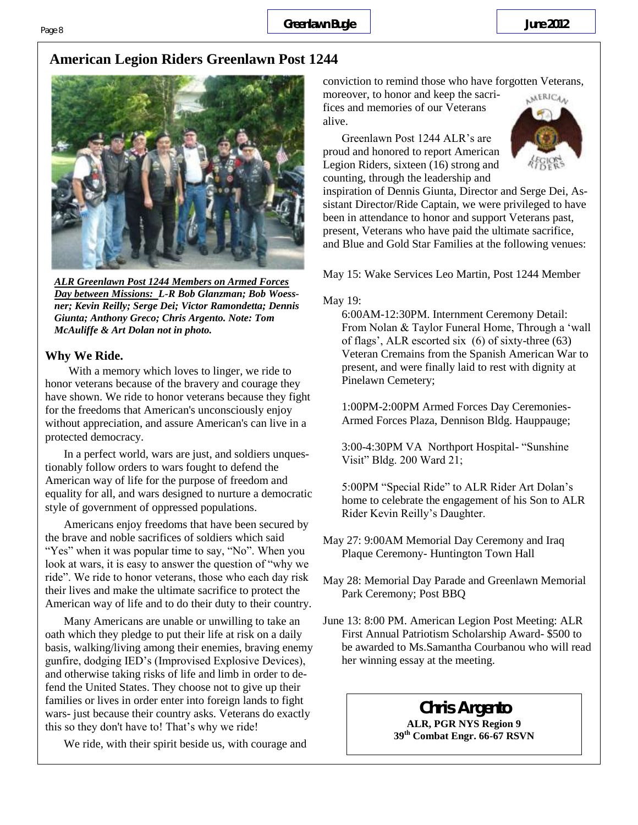# **American Legion Riders Greenlawn Post 1244**



*ALR Greenlawn Post 1244 Members on Armed Forces Day between Missions: L-R Bob Glanzman; Bob Woessner; Kevin Reilly; Serge Dei; Victor Ramondetta; Dennis Giunta; Anthony Greco; Chris Argento. Note: Tom McAuliffe & Art Dolan not in photo.*

### **Why We Ride.**

With a memory which loves to linger, we ride to honor veterans because of the bravery and courage they have shown. We ride to honor veterans because they fight for the freedoms that American's unconsciously enjoy without appreciation, and assure American's can live in a protected democracy.

In a perfect world, wars are just, and soldiers unquestionably follow orders to wars fought to defend the American way of life for the purpose of freedom and equality for all, and wars designed to nurture a democratic style of government of oppressed populations.

Americans enjoy freedoms that have been secured by the brave and noble sacrifices of soldiers which said "Yes" when it was popular time to say, "No". When you look at wars, it is easy to answer the question of "why we ride". We ride to honor veterans, those who each day risk their lives and make the ultimate sacrifice to protect the American way of life and to do their duty to their country.

Many Americans are unable or unwilling to take an oath which they pledge to put their life at risk on a daily basis, walking/living among their enemies, braving enemy gunfire, dodging IED's (Improvised Explosive Devices), and otherwise taking risks of life and limb in order to defend the United States. They choose not to give up their families or lives in order enter into foreign lands to fight wars- just because their country asks. Veterans do exactly this so they don't have to! That's why we ride!

We ride, with their spirit beside us, with courage and

conviction to remind those who have forgotten Veterans,

moreover, to honor and keep the sacrifices and memories of our Veterans alive.

Greenlawn Post 1244 ALR's are proud and honored to report American Legion Riders, sixteen (16) strong and counting, through the leadership and



inspiration of Dennis Giunta, Director and Serge Dei, Assistant Director/Ride Captain, we were privileged to have been in attendance to honor and support Veterans past, present, Veterans who have paid the ultimate sacrifice, and Blue and Gold Star Families at the following venues:

May 15: Wake Services Leo Martin, Post 1244 Member

#### May 19:

6:00AM-12:30PM. Internment Ceremony Detail: From Nolan & Taylor Funeral Home, Through a 'wall of flags', ALR escorted six (6) of sixty-three (63) Veteran Cremains from the Spanish American War to present, and were finally laid to rest with dignity at Pinelawn Cemetery;

1:00PM-2:00PM Armed Forces Day Ceremonies-Armed Forces Plaza, Dennison Bldg. Hauppauge;

3:00-4:30PM VA Northport Hospital- "Sunshine Visit" Bldg. 200 Ward 21;

5:00PM "Special Ride" to ALR Rider Art Dolan's home to celebrate the engagement of his Son to ALR Rider Kevin Reilly's Daughter.

May 27: 9:00AM Memorial Day Ceremony and Iraq Plaque Ceremony- Huntington Town Hall

May 28: Memorial Day Parade and Greenlawn Memorial Park Ceremony; Post BBQ

June 13: 8:00 PM. American Legion Post Meeting: ALR First Annual Patriotism Scholarship Award- \$500 to be awarded to Ms.Samantha Courbanou who will read her winning essay at the meeting.

# **Chris Argento**

**ALR, PGR NYS Region 9 39th Combat Engr. 66-67 RSVN**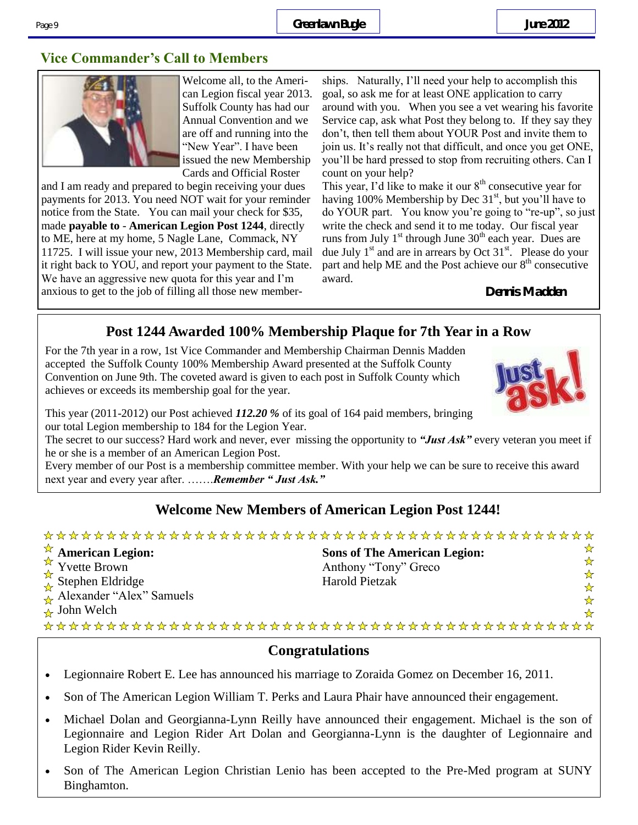# **Vice Commander's Call to Members**



Welcome all, to the American Legion fiscal year 2013. Suffolk County has had our Annual Convention and we are off and running into the "New Year". I have been issued the new Membership Cards and Official Roster

and I am ready and prepared to begin receiving your dues payments for 2013. You need NOT wait for your reminder notice from the State. You can mail your check for \$35, made **payable to** - **American Legion Post 1244**, directly to ME, here at my home, 5 Nagle Lane, Commack, NY 11725. I will issue your new, 2013 Membership card, mail it right back to YOU, and report your payment to the State. We have an aggressive new quota for this year and I'm anxious to get to the job of filling all those new member-

ships. Naturally, I'll need your help to accomplish this goal, so ask me for at least ONE application to carry around with you. When you see a vet wearing his favorite Service cap, ask what Post they belong to. If they say they don't, then tell them about YOUR Post and invite them to join us. It's really not that difficult, and once you get ONE, you'll be hard pressed to stop from recruiting others. Can I count on your help?

This year, I'd like to make it our  $8<sup>th</sup>$  consecutive year for having 100% Membership by Dec  $31<sup>st</sup>$ , but you'll have to do YOUR part. You know you're going to "re-up", so just write the check and send it to me today. Our fiscal year runs from July  $1<sup>st</sup>$  through June  $30<sup>th</sup>$  each year. Dues are due July  $1<sup>st</sup>$  and are in arrears by Oct  $31<sup>st</sup>$ . Please do your part and help ME and the Post achieve our  $8<sup>th</sup>$  consecutive award.

**Dennis Madden**

# **Post 1244 Awarded 100% Membership Plaque for 7th Year in a Row**

For the 7th year in a row, 1st Vice Commander and Membership Chairman Dennis Madden accepted the Suffolk County 100% Membership Award presented at the Suffolk County Convention on June 9th. The coveted award is given to each post in Suffolk County which achieves or exceeds its membership goal for the year.

This year (2011-2012) our Post achieved *112.20 %* of its goal of 164 paid members, bringing our total Legion membership to 184 for the Legion Year.

The secret to our success? Hard work and never, ever missing the opportunity to *"Just Ask"* every veteran you meet if he or she is a member of an American Legion Post.

Every member of our Post is a membership committee member. With your help we can be sure to receive this award next year and every year after. …….*Remember " Just Ask."*

## **Welcome New Members of American Legion Post 1244!**

#### American Legion: ☆☆☆☆☆☆ **Sons of The American Legion:**  $\frac{1}{\lambda}$  Yvette Brown Anthony "Tony" Greco  $\frac{M}{\chi}$  Stephen Eldridge Harold Pietzak  $A$ Alexander "Alex" Samuels  $\rightarrow$  John Welch  $\frac{1}{N}$

### **Congratulations**

- Legionnaire Robert E. Lee has announced his marriage to Zoraida Gomez on December 16, 2011.
- Son of The American Legion William T. Perks and Laura Phair have announced their engagement.
- Michael Dolan and Georgianna-Lynn Reilly have announced their engagement. Michael is the son of Legionnaire and Legion Rider Art Dolan and Georgianna-Lynn is the daughter of Legionnaire and Legion Rider Kevin Reilly.
- Son of The American Legion Christian Lenio has been accepted to the Pre-Med program at SUNY Binghamton.

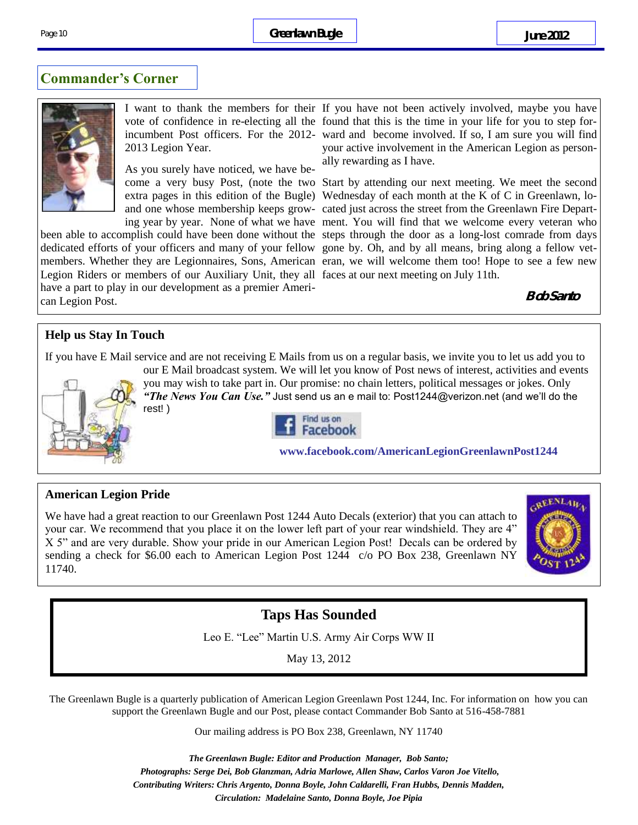### **Commander's Corner**



2013 Legion Year.

As you surely have noticed, we have be-

been able to accomplish could have been done without the steps through the door as a long-lost comrade from days dedicated efforts of your officers and many of your fellow gone by. Oh, and by all means, bring along a fellow vetmembers. Whether they are Legionnaires, Sons, American eran, we will welcome them too! Hope to see a few new Legion Riders or members of our Auxiliary Unit, they all faces at our next meeting on July 11th. have a part to play in our development as a premier American Legion Post.

I want to thank the members for their If you have not been actively involved, maybe you have vote of confidence in re-electing all the found that this is the time in your life for you to step forincumbent Post officers. For the 2012- ward and become involved. If so, I am sure you will find your active involvement in the American Legion as personally rewarding as I have.

come a very busy Post, (note the two Start by attending our next meeting. We meet the second extra pages in this edition of the Bugle) Wednesday of each month at the K of C in Greenlawn, loand one whose membership keeps grow-cated just across the street from the Greenlawn Fire Departing year by year. None of what we have ment. You will find that we welcome every veteran who

**Bob Santo**

### **Help us Stay In Touch**

If you have E Mail service and are not receiving E Mails from us on a regular basis, we invite you to let us add you to



our E Mail broadcast system. We will let you know of Post news of interest, activities and events you may wish to take part in. Our promise: no chain letters, political messages or jokes. Only *"The News You Can Use."* Just send us an e mail to: Post1244@verizon.net (and we'll do the rest! )



**www.facebook.com/AmericanLegionGreenlawnPost1244** 

#### **American Legion Pride**

We have had a great reaction to our Greenlawn Post 1244 Auto Decals (exterior) that you can attach to your car. We recommend that you place it on the lower left part of your rear windshield. They are 4" X 5" and are very durable. Show your pride in our American Legion Post! Decals can be ordered by sending a check for \$6.00 each to American Legion Post 1244 c/o PO Box 238, Greenlawn NY 11740.



# **Taps Has Sounded**

Leo E. "Lee" Martin U.S. Army Air Corps WW II

May 13, 2012

The Greenlawn Bugle is a quarterly publication of American Legion Greenlawn Post 1244, Inc. For information on how you can support the Greenlawn Bugle and our Post, please contact Commander Bob Santo at 516-458-7881

Our mailing address is PO Box 238, Greenlawn, NY 11740

*The Greenlawn Bugle: Editor and Production Manager, Bob Santo; Photographs: Serge Dei, Bob Glanzman, Adria Marlowe, Allen Shaw, Carlos Varon Joe Vitello, Contributing Writers: Chris Argento, Donna Boyle, John Caldarelli, Fran Hubbs, Dennis Madden, Circulation: Madelaine Santo, Donna Boyle, Joe Pipia*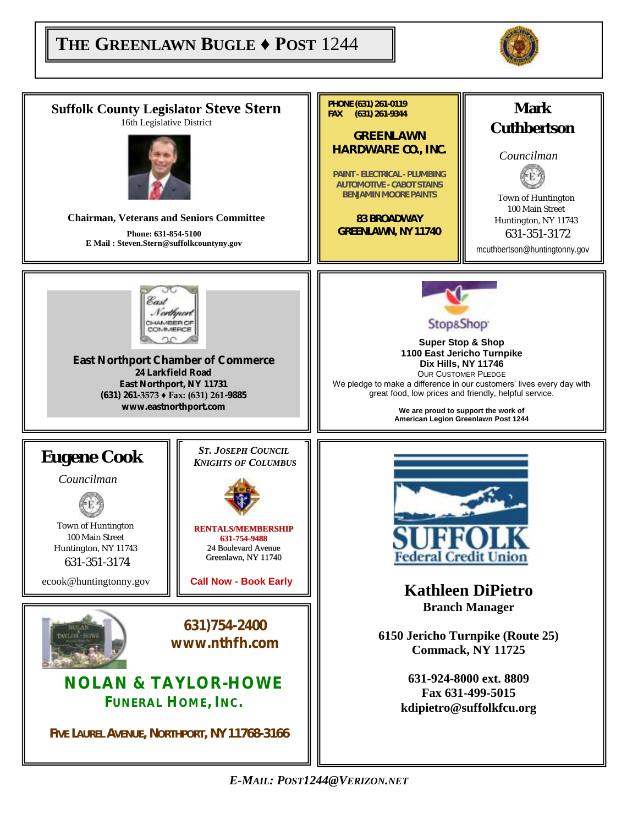# $\begin{bmatrix} \mathbf{THE} \ \mathbf{GREENLAWN} \ \mathbf{BUGLE} \ \mathbf{\blacklozenge} \ \mathbf{POST} \ \ 1244 \end{bmatrix}$



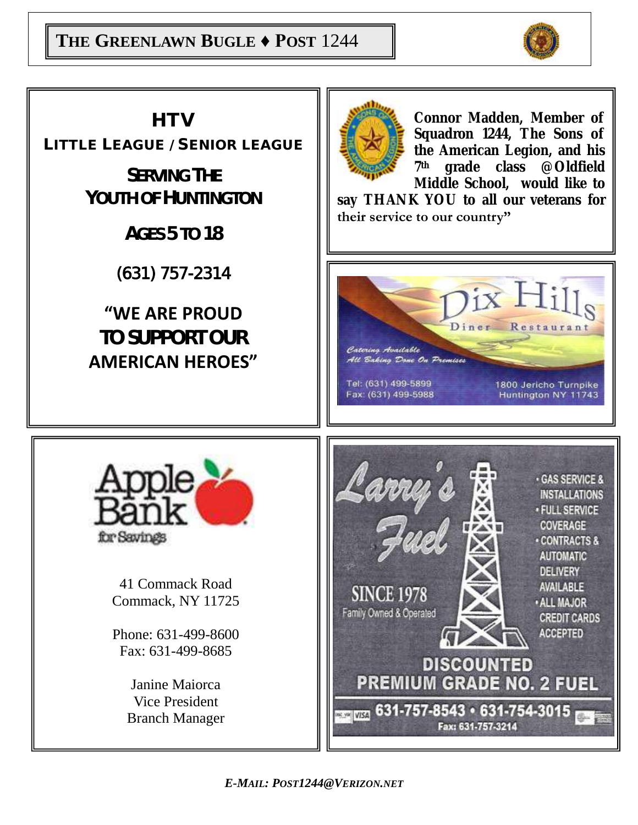



*E-MAIL: POST1244@VERIZON.NET*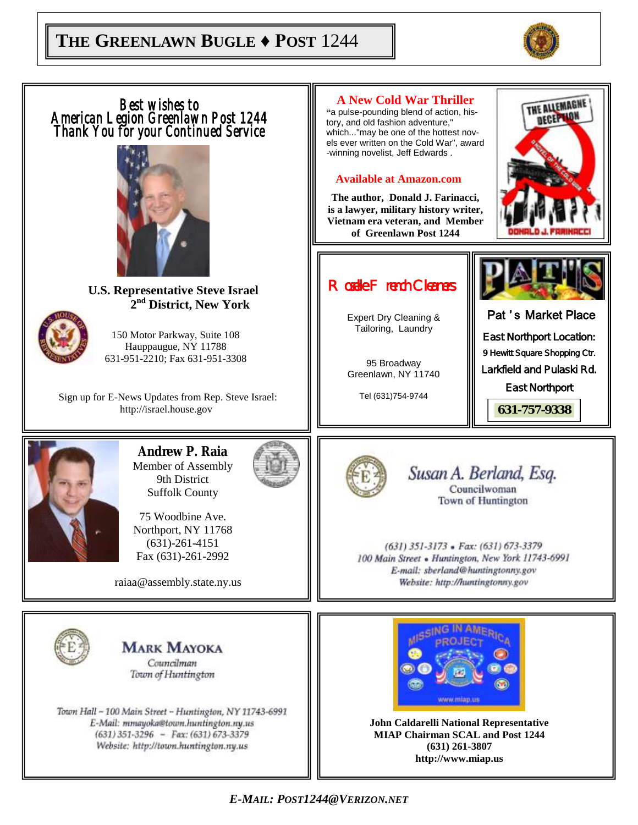



*E-MAIL: POST1244@VERIZON.NET*